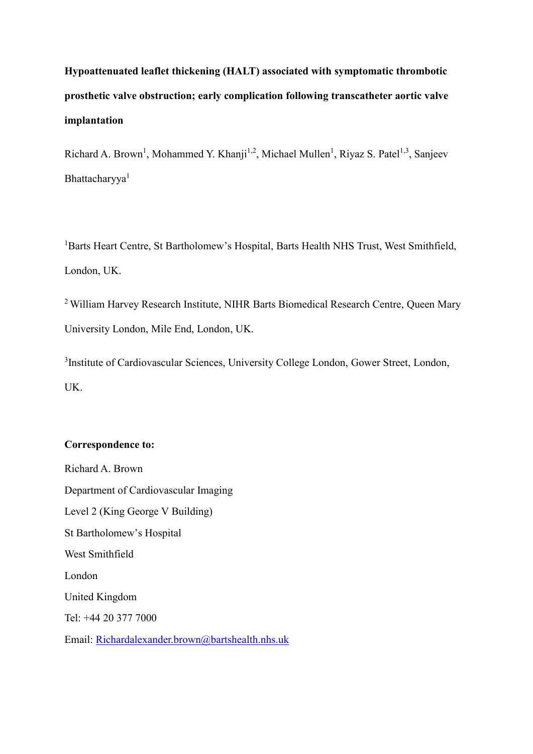## **Hypoattenuated leaflet thickening (HALT) associated with symptomatic thrombotic prosthetic valve obstruction; early complication following transcatheter aortic valve implantation**

Richard A. Brown<sup>1</sup>, Mohammed Y. Khanji<sup>1,2</sup>, Michael Mullen<sup>1</sup>, Riyaz S. Patel<sup>1,3</sup>, Sanjeev Bhattacharyya<sup>1</sup>

<sup>1</sup>Barts Heart Centre, St Bartholomew's Hospital, Barts Health NHS Trust, West Smithfield, London, UK.

<sup>2</sup> William Harvey Research Institute, NIHR Barts Biomedical Research Centre, Queen Mary University London, Mile End, London, UK.

<sup>3</sup>Institute of Cardiovascular Sciences, University College London, Gower Street, London, UK.

## **Correspondence to:**

Richard A. Brown Department of Cardiovascular Imaging Level 2 (King George V Building) St Bartholomew's Hospital West Smithfield London United Kingdom Tel: +44 20 377 7000 Email: [Richardalexander.brown@bartshealth.nhs.uk](mailto:Richardalexander.brown@bartshealth.nhs.ukt)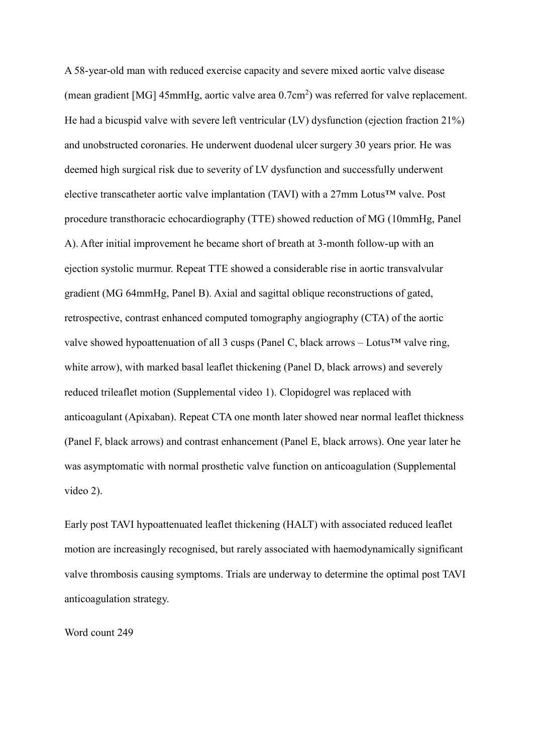A 58-year-old man with reduced exercise capacity and severe mixed aortic valve disease (mean gradient [MG] 45mmHg, aortic valve area 0.7cm<sup>2</sup>) was referred for valve replacement. He had a bicuspid valve with severe left ventricular (LV) dysfunction (ejection fraction 21%) and unobstructed coronaries. He underwent duodenal ulcer surgery 30 years prior. He was deemed high surgical risk due to severity of LV dysfunction and successfully underwent elective transcatheter aortic valve implantation (TAVI) with a 27mm Lotus™ valve. Post procedure transthoracic echocardiography (TTE) showed reduction of MG (10mmHg, Panel A). After initial improvement he became short of breath at 3-month follow-up with an ejection systolic murmur. Repeat TTE showed a considerable rise in aortic transvalvular gradient (MG 64mmHg, Panel B). Axial and sagittal oblique reconstructions of gated, retrospective, contrast enhanced computed tomography angiography (CTA) of the aortic valve showed hypoattenuation of all 3 cusps (Panel C, black arrows – Lotus<sup>TM</sup> valve ring, white arrow), with marked basal leaflet thickening (Panel D, black arrows) and severely reduced trileaflet motion (Supplemental video 1). Clopidogrel was replaced with anticoagulant (Apixaban). Repeat CTA one month later showed near normal leaflet thickness (Panel F, black arrows) and contrast enhancement (Panel E, black arrows). One year later he was asymptomatic with normal prosthetic valve function on anticoagulation (Supplemental video 2).

Early post TAVI hypoattenuated leaflet thickening (HALT) with associated reduced leaflet motion are increasingly recognised, but rarely associated with haemodynamically significant valve thrombosis causing symptoms. Trials are underway to determine the optimal post TAVI anticoagulation strategy.

Word count 249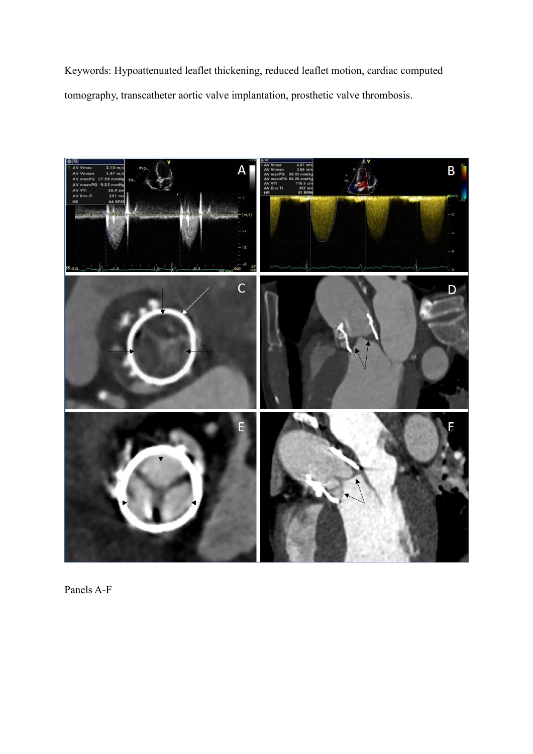Keywords: Hypoattenuated leaflet thickening, reduced leaflet motion, cardiac computed tomography, transcatheter aortic valve implantation, prosthetic valve thrombosis.



Panels A-F